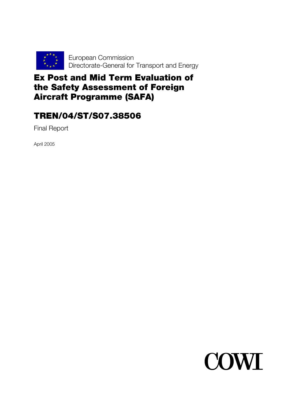

# Ex Post and Mid Term Evaluation of the Safety Assessment of Foreign Aircraft Programme (SAFA)

# TREN/04/ST/S07.38506

Final Report

April 2005

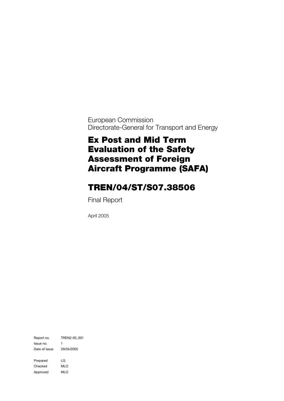European Commission Directorate-General for Transport and Energy

# Ex Post and Mid Term Evaluation of the Safety Assessment of Foreign Aircraft Programme (SAFA)

# TREN/04/ST/S07.38506

Final Report

April 2005

Report no. TREN2-05\_001 Issue no. 1 Date of issue 29/04/2005 Prepared LG Checked MLO Approved MLO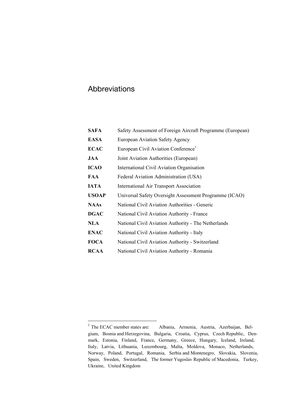## Abbreviations

| <b>SAFA</b>  | Safety Assessment of Foreign Aircraft Programme (European) |
|--------------|------------------------------------------------------------|
| <b>EASA</b>  | European Aviation Safety Agency                            |
| <b>ECAC</b>  | European Civil Aviation Conference <sup>1</sup>            |
| JAA          | Joint Aviation Authorities (European)                      |
| <b>ICAO</b>  | International Civil Aviation Organisation                  |
| FAA          | Federal Aviation Administration (USA)                      |
| <b>IATA</b>  | <b>International Air Transport Association</b>             |
| <b>USOAP</b> | Universal Safety Oversight Assessment Programme (ICAO)     |
| <b>NAAs</b>  | National Civil Aviation Authorities - Generic              |
| <b>DGAC</b>  | National Civil Aviation Authority - France                 |
| <b>NLA</b>   | National Civil Aviation Authority - The Netherlands        |
| <b>ENAC</b>  | National Civil Aviation Authority - Italy                  |
| <b>FOCA</b>  | National Civil Aviation Authority - Switzerland            |
| <b>RCAA</b>  | National Civil Aviation Authority - Romania                |

<span id="page-2-0"></span><sup>&</sup>lt;sup>1</sup> The ECAC member states are: Albania, Armenia, Austria, Azerbaijan, Belgium, Bosnia and Herzegovina, Bulgaria, Croatia, Cyprus, Czech Republic, Denmark, Estonia, Finland, France, Germany, Greece, Hungary, Iceland, Ireland, Italy, Latvia, Lithuania, Luxembourg, Malta, Moldova, Monaco, Netherlands, Norway, Poland, Portugal, Romania, Serbia and Montenegro, Slovakia, Slovenia, Spain, Sweden, Switzerland, The former Yugoslav Republic of Macedonia, Turkey, Ukraine, United Kingdom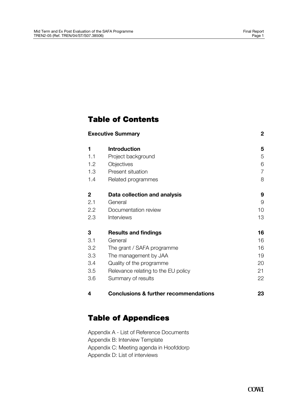## Table of Contents

|                | <b>Executive Summary</b>                         | $\mathbf 2$ |
|----------------|--------------------------------------------------|-------------|
| 1              | <b>Introduction</b>                              | 5           |
| 1.1            | Project background                               | 5           |
| 1.2            | Objectives                                       | 6           |
| 1.3            | Present situation                                | 7           |
| 1.4            | Related programmes                               | 8           |
| $\overline{2}$ | Data collection and analysis                     | 9           |
| 2.1            | General                                          | 9           |
| 2.2            | Documentation review                             | 10          |
| 2.3            | Interviews                                       | 13          |
| 3              | <b>Results and findings</b>                      | 16          |
| 3.1            | General                                          | 16          |
| 3.2            | The grant / SAFA programme                       | 16          |
| $3.3\,$        | The management by JAA                            | 19          |
| 3.4            | Quality of the programme                         | 20          |
| 3.5            | Relevance relating to the EU policy              | 21          |
| 3.6            | Summary of results                               | 22          |
| 4              | <b>Conclusions &amp; further recommendations</b> | 23          |

# Table of Appendices

Appendix A - List of Reference Documents Appendix B: Interview Template Appendix C: Meeting agenda in Hoofddorp Appendix D: List of interviews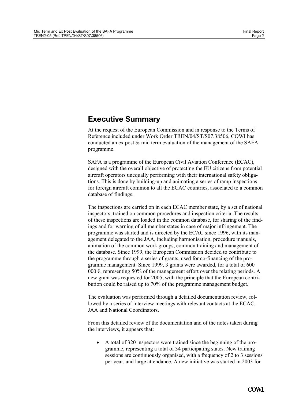## <span id="page-4-0"></span>**Executive Summary**

At the request of the European Commission and in response to the Terms of Reference included under Work Order TREN/04/ST/S07.38506, COWI has conducted an ex post & mid term evaluation of the management of the SAFA programme.

SAFA is a programme of the European Civil Aviation Conference (ECAC), designed with the overall objective of protecting the EU citizens from potential aircraft operators unequally performing with their international safety obligations. This is done by building-up and animating a series of ramp inspections for foreign aircraft common to all the ECAC countries, associated to a common database of findings.

The inspections are carried on in each ECAC member state, by a set of national inspectors, trained on common procedures and inspection criteria. The results of these inspections are loaded in the common database, for sharing of the findings and for warning of all member states in case of major infringement. The programme was started and is directed by the ECAC since 1996, with its management delegated to the JAA, including harmonisation, procedure manuals, animation of the common work groups, common training and management of the database. Since 1999, the European Commission decided to contribute to the programme through a series of grants, used for co-financing of the programme management. Since 1999, 3 grants were awarded, for a total of 600 000  $\epsilon$ , representing 50% of the management effort over the relating periods. A new grant was requested for 2005, with the principle that the European contribution could be raised up to 70% of the programme management budget.

The evaluation was performed through a detailed documentation review, followed by a series of interview meetings with relevant contacts at the ECAC, JAA and National Coordinators.

From this detailed review of the documentation and of the notes taken during the interviews, it appears that:

• A total of 320 inspectors were trained since the beginning of the programme, representing a total of 34 participating states. New training sessions are continuously organised, with a frequency of 2 to 3 sessions per year, and large attendance. A new initiative was started in 2003 for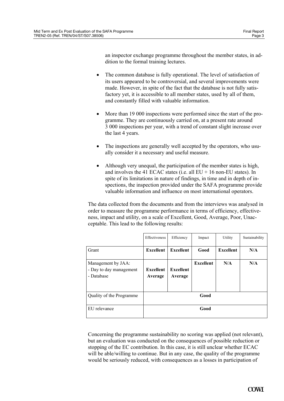an inspector exchange programme throughout the member states, in addition to the formal training lectures.

- The common database is fully operational. The level of satisfaction of its users appeared to be controversial, and several improvements were made. However, in spite of the fact that the database is not fully satisfactory yet, it is accessible to all member states, used by all of them, and constantly filled with valuable information.
- More than 19 000 inspections were performed since the start of the programme. They are continuously carried on, at a present rate around 3 000 inspections per year, with a trend of constant slight increase over the last 4 years.
- The inspections are generally well accepted by the operators, who usually consider it a necessary and useful measure.
- Although very unequal, the participation of the member states is high, and involves the 41 ECAC states (i.e. all  $EU + 16$  non-EU states). In spite of its limitations in nature of findings, in time and in depth of inspections, the inspection provided under the SAFA programme provide valuable information and influence on most international operators.

The data collected from the documents and from the interviews was analysed in order to measure the programme performance in terms of efficiency, effectiveness, impact and utility, on a scale of Excellent, Good, Average, Poor, Unacceptable. This lead to the following results:

|                                                             | Effectiveness        | Efficiency           | Impact           | Utility          | Sustainability |
|-------------------------------------------------------------|----------------------|----------------------|------------------|------------------|----------------|
| Grant                                                       | <b>Excellent</b>     | Excellent            | Good             | <b>Excellent</b> | N/A            |
| Management by JAA:<br>- Day to day management<br>- Database | Excellent<br>Average | Excellent<br>Average | <b>Excellent</b> | N/A              | N/A            |
| Quality of the Programme                                    |                      |                      | Good             |                  |                |
| EU relevance                                                |                      |                      | Good             |                  |                |

Concerning the programme sustainability no scoring was applied (not relevant), but an evaluation was conducted on the consequences of possible reduction or stopping of the EC contribution. In this case, it is still unclear whether ECAC will be able/willing to continue. But in any case, the quality of the programme would be seriously reduced, with consequences as a losses in participation of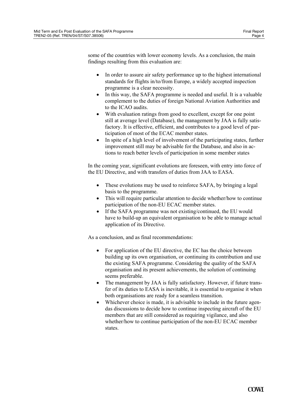some of the countries with lower economy levels. As a conclusion, the main findings resulting from this evaluation are:

- In order to assure air safety performance up to the highest international standards for flights in/to/from Europe, a widely accepted inspection programme is a clear necessity.
- In this way, the SAFA programme is needed and useful. It is a valuable complement to the duties of foreign National Aviation Authorities and to the ICAO audits.
- With evaluation ratings from good to excellent, except for one point still at average level (Database), the management by JAA is fully satisfactory. It is effective, efficient, and contributes to a good level of participation of most of the ECAC member states.
- In spite of a high level of involvement of the participating states, further improvement still may be advisable for the Database, and also in actions to reach better levels of participation in some member states

In the coming year, significant evolutions are foreseen, with entry into force of the EU Directive, and with transfers of duties from JAA to EASA.

- These evolutions may be used to reinforce SAFA, by bringing a legal basis to the programme.
- This will require particular attention to decide whether/how to continue participation of the non-EU ECAC member states.
- If the SAFA programme was not existing/continued, the EU would have to build-up an equivalent organisation to be able to manage actual application of its Directive.

As a conclusion, and as final recommendations:

- For application of the EU directive, the EC has the choice between building up its own organisation, or continuing its contribution and use the existing SAFA programme. Considering the quality of the SAFA organisation and its present achievements, the solution of continuing seems preferable.
- The management by JAA is fully satisfactory. However, if future transfer of its duties to EASA is inevitable, it is essential to organise it when both organisations are ready for a seamless transition.
- Whichever choice is made, it is advisable to include in the future agendas discussions to decide how to continue inspecting aircraft of the EU members that are still considered as requiring vigilance, and also whether/how to continue participation of the non-EU ECAC member states.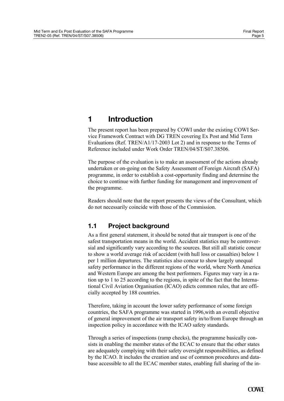## <span id="page-7-0"></span>**1 Introduction**

The present report has been prepared by COWI under the existing COWI Service Framework Contract with DG TREN covering Ex Post and Mid Term Evaluations (Ref. TREN/A1/17-2003 Lot 2) and in response to the Terms of Reference included under Work Order TREN/04/ST/S07.38506.

The purpose of the evaluation is to make an assessment of the actions already undertaken or on-going on the Safety Assessment of Foreign Aircraft (SAFA) programme, in order to establish a cost-opportunity finding and determine the choice to continue with further funding for management and improvement of the programme.

Readers should note that the report presents the views of the Consultant, which do not necessarily coincide with those of the Commission.

## **1.1 Project background**

As a first general statement, it should be noted that air transport is one of the safest transportation means in the world. Accident statistics may be controversial and significantly vary according to the sources. But still all statistic concur to show a world average risk of accident (with hull loss or casualties) below 1 per 1 million departures. The statistics also concur to show largely unequal safety performance in the different regions of the world, where North America and Western Europe are among the best performers. Figures may vary in a ration up to 1 to 25 according to the regions, in spite of the fact that the International Civil Aviation Organisation (ICAO) edicts common rules, that are officially accepted by 188 countries.

Therefore, taking in account the lower safety performance of some foreign countries, the SAFA programme was started in 1996,with an overall objective of general improvement of the air transport safety in/to/from Europe through an inspection policy in accordance with the ICAO safety standards.

Through a series of inspections (ramp checks), the programme basically consists in enabling the member states of the ECAC to ensure that the other states are adequately complying with their safety oversight responsibilities, as defined by the ICAO. It includes the creation and use of common procedures and database accessible to all the ECAC member states, enabling full sharing of the in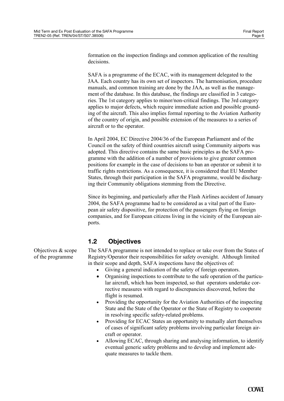<span id="page-8-0"></span>formation on the inspection findings and common application of the resulting decisions.

SAFA is a programme of the ECAC, with its management delegated to the JAA. Each country has its own set of inspectors. The harmonisation, procedure manuals, and common training are done by the JAA, as well as the management of the database. In this database, the findings are classified in 3 categories. The 1st category applies to minor/non-critical findings. The 3rd category applies to major defects, which require immediate action and possible grounding of the aircraft. This also implies formal reporting to the Aviation Authority of the country of origin, and possible extension of the measures to a series of aircraft or to the operator.

In April 2004, EC Directive 2004/36 of the European Parliament and of the Council on the safety of third countries aircraft using Community airports was adopted. This directive contains the same basic principles as the SAFA programme with the addition of a number of provisions to give greater common positions for example in the case of decisions to ban an operator or submit it to traffic rights restrictions. As a consequence, it is considered that EU Member States, through their participation in the SAFA programme, would be discharging their Community obligations stemming from the Directive.

Since its beginning, and particularly after the Flash Airlines accident of January 2004, the SAFA programme had to be considered as a vital part of the European air safety dispositive, for protection of the passengers flying on foreign companies, and for European citizens living in the vicinity of the European airports.

## **1.2 Objectives**

The SAFA programme is not intended to replace or take over from the States of Registry/Operator their responsibilities for safety oversight. Although limited in their scope and depth, SAFA inspections have the objectives of:

- Giving a general indication of the safety of foreign operators.
- Organising inspections to contribute to the safe operation of the particular aircraft, which has been inspected, so that operators undertake corrective measures with regard to discrepancies discovered, before the flight is resumed.
- Providing the opportunity for the Aviation Authorities of the inspecting State and the State of the Operator or the State of Registry to cooperate in resolving specific safety-related problems.
- Providing for ECAC States an opportunity to mutually alert themselves of cases of significant safety problems involving particular foreign aircraft or operator.
- Allowing ECAC, through sharing and analysing information, to identify eventual generic safety problems and to develop and implement adequate measures to tackle them.

Objectives & scope of the programme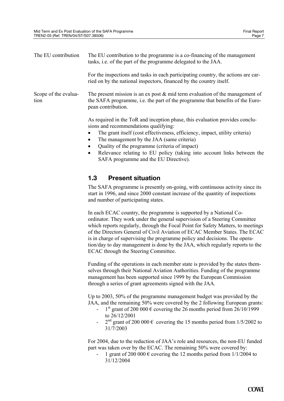<span id="page-9-0"></span>

| The EU contribution          | The EU contribution to the programme is a co-financing of the management<br>tasks, <i>i.e.</i> of the part of the programme delegated to the JAA.                                                                                                                |
|------------------------------|------------------------------------------------------------------------------------------------------------------------------------------------------------------------------------------------------------------------------------------------------------------|
|                              | For the inspections and tasks in each participating country, the actions are car-<br>ried on by the national inspectors, financed by the country itself.                                                                                                         |
| Scope of the evalua-<br>tion | The present mission is an ex post $\&$ mid term evaluation of the management of<br>the SAFA programme, i.e. the part of the programme that benefits of the Euro-<br>pean contribution.                                                                           |
|                              | As required in the ToR and inception phase, this evaluation provides conclu-<br>sions and recommendations qualifying:<br>The grant itself (cost effectiveness, efficiency, impact, utility criteria)<br>٠<br>$\bullet$ The menegament by the IAA (geme eritoria) |

- The management by the JAA (same criteria)
- Quality of the programme (criteria of impact)
- Relevance relating to EU policy (taking into account links between the SAFA programme and the EU Directive).

#### **1.3 Present situation**

The SAFA programme is presently on-going, with continuous activity since its start in 1996, and since 2000 constant increase of the quantity of inspections and number of participating states.

In each ECAC country, the programme is supported by a National Coordinator. They work under the general supervision of a Steering Committee which reports regularly, through the Focal Point for Safety Matters, to meetings of the Directors General of Civil Aviation of ECAC Member States. The ECAC is in charge of supervising the programme policy and decisions. The operation/day to day management is done by the JAA, which regularly reports to the ECAC through the Steering Committee.

Funding of the operations in each member state is provided by the states themselves through their National Aviation Authorities. Funding of the programme management has been supported since 1999 by the European Commission through a series of grant agreements signed with the JAA.

Up to 2003, 50% of the programme management budget was provided by the JAA, and the remaining 50% were covered by the 2 following European grants:

- 1<sup>st</sup> grant of 200 000  $\epsilon$  covering the 26 months period from 26/10/1999 to 26/12/2001
- $2<sup>nd</sup>$  grant of 200 000  $\epsilon$  covering the 15 months period from 1/5/2002 to 31/7/2003

For 2004, due to the reduction of JAA's role and resources, the non-EU funded part was taken over by the ECAC. The remaining 50% were covered by:

1 grant of 200 000  $\epsilon$  covering the 12 months period from 1/1/2004 to 31/12/2004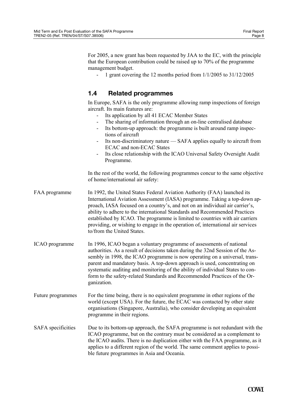<span id="page-10-0"></span>For 2005, a new grant has been requested by JAA to the EC, with the principle that the European contribution could be raised up to 70% of the programme management budget.

1 grant covering the 12 months period from  $1/1/2005$  to  $31/12/2005$ 

### **1.4 Related programmes**

In Europe, SAFA is the only programme allowing ramp inspections of foreign aircraft. Its main features are:

- Its application by all 41 ECAC Member States
- The sharing of information through an on-line centralised database
- Its bottom-up approach: the programme is built around ramp inspections of aircraft
- Its non-discriminatory nature SAFA applies equally to aircraft from ECAC and non-ECAC States
- Its close relationship with the ICAO Universal Safety Oversight Audit Programme.

In the rest of the world, the following programmes concur to the same objective of home/international air safety:

FAA programme In 1992, the United States Federal Aviation Authority (FAA) launched its International Aviation Assessment (IASA) programme. Taking a top-down approach, IASA focused on a country's, and not on an individual air carrier's, ability to adhere to the international Standards and Recommended Practices established by ICAO. The programme is limited to countries with air carriers providing, or wishing to engage in the operation of, international air services to/from the United States.

- ICAO programme In 1996, ICAO began a voluntary programme of assessments of national authorities. As a result of decisions taken during the 32nd Session of the Assembly in 1998, the ICAO programme is now operating on a universal, transparent and mandatory basis. A top-down approach is used, concentrating on systematic auditing and monitoring of the ability of individual States to conform to the safety-related Standards and Recommended Practices of the Organization.
- Future programmes For the time being, there is no equivalent programme in other regions of the world (except USA). For the future, the ECAC was contacted by other state organisations (Singapore, Australia), who consider developing an equivalent programme in their regions.
- SAFA specificities Due to its bottom-up approach, the SAFA programme is not redundant with the ICAO programme, but on the contrary must be considered as a complement to the ICAO audits. There is no duplication either with the FAA programme, as it applies to a different region of the world. The same comment applies to possible future programmes in Asia and Oceania.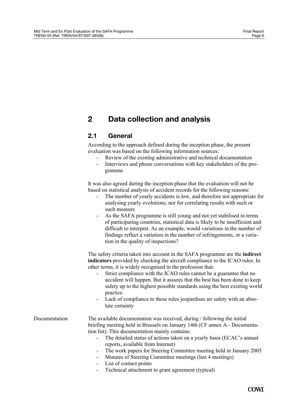## <span id="page-11-0"></span>**2 Data collection and analysis**

## **2.1 General**

According to the approach defined during the inception phase, the present evaluation was based on the following information sources:

- Review of the existing administrative and technical documentation
- Interviews and phone conversations with key stakeholders of the programme

It was also agreed during the inception phase that the evaluation will not be based on statistical analysis of accident records for the following reasons:

- The number of yearly accidents is low, and therefore not appropriate for analysing yearly evolutions, nor for correlating results with such or such measure
- As the SAFA programme is still young and not yet stabilised in terms of participating countries, statistical data is likely to be insufficient and difficult to interpret. As an example, would variations in the number of findings reflect a variation in the number of infringements, or a variation in the quality of inspections?

The safety criteria taken into account in the SAFA programme are the **indirect indicators** provided by checking the aircraft compliance to the ICAO rules. In other terms, it is widely recognised in the profession that:

- Strict compliance with the ICAO rules cannot be a guarantee that no accident will happen. But it assures that the best has been done to keep safety up to the highest possible standards using the best existing world practice
- Lack of compliance to these rules jeopardises air safety with an absolute certainty

#### Documentation The available documentation was received, during / following the initial briefing meeting held in Brussels on January 14th (CF annex A - Documentation list). This documentation mainly contains:

- The detailed status of actions taken on a yearly basis (ECAC's annual reports, available from Internet)
- The work papers for Steering Committee meeting held in January 2005
- Minutes of Steering Committee meetings (last 4 meetings)
- List of contact points
- Technical attachment to grant agreement (typical)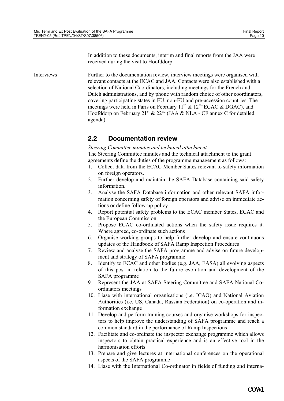In addition to these documents, interim and final reports from the JAA were received during the visit to Hoofddorp.

<span id="page-12-0"></span>Interviews Further to the documentation review, interview meetings were organised with relevant contacts at the ECAC and JAA. Contacts were also established with a selection of National Coordinators, including meetings for the French and Dutch administrations, and by phone with random choice of other coordinators, covering participating states in EU, non-EU and pre-accession countries. The meetings were held in Paris on February 11<sup>th</sup> & 12<sup>th (</sup>ECAC & DGAC), and Hoofddorp on February 21<sup>st</sup>  $\&$  22<sup>nd</sup> (JAA  $\&$  NLA - CF annex C for detailed agenda).

## **2.2 Documentation review**

*Steering Committee minutes and technical attachment* 

The Steering Committee minutes and the technical attachment to the grant agreements define the duties of the programme management as follows:

- 1. Collect data from the ECAC Member States relevant to safety information on foreign operators.
- 2. Further develop and maintain the SAFA Database containing said safety information.
- 3. Analyse the SAFA Database information and other relevant SAFA information concerning safety of foreign operators and advise on immediate actions or define follow-up policy
- 4. Report potential safety problems to the ECAC member States, ECAC and the European Commission
- 5. Propose ECAC co-ordinated actions when the safety issue requires it. Where agreed, co-ordinate such actions
- 6. Organise working groups to help further develop and ensure continuous updates of the Handbook of SAFA Ramp Inspection Procedures
- 7. Review and analyse the SAFA programme and advise on future development and strategy of SAFA programme
- 8. Identify to ECAC and other bodies (e.g. JAA, EASA) all evolving aspects of this post in relation to the future evolution and development of the SAFA programme
- 9. Represent the JAA at SAFA Steering Committee and SAFA National Coordinators meetings
- 10. Liase with international organisations (i.e. ICAO) and National Aviation Authorities (i.e. US, Canada, Russian Federation) on co-operation and information exchange
- 11. Develop and perform training courses and organise workshops for inspectors to help improve the understanding of SAFA programme and reach a common standard in the performance of Ramp Inspections
- 12. Facilitate and co-ordinate the inspector exchange programme which allows inspectors to obtain practical experience and is an effective tool in the harmonisation efforts
- 13. Prepare and give lectures at international conferences on the operational aspects of the SAFA programme
- 14. Liase with the International Co-ordinator in fields of funding and interna-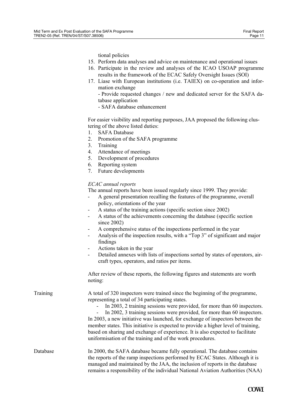tional policies

- 15. Perform data analyses and advice on maintenance and operational issues
- 16. Participate in the review and analyses of the ICAO USOAP programme results in the framework of the ECAC Safely Oversight Issues (SOI)
- 17. Liase with European institutions (i.e. TAIEX) on co-operation and information exchange

- Provide requested changes / new and dedicated server for the SAFA database application

- SAFA database enhancement

For easier visibility and reporting purposes, JAA proposed the following clustering of the above listed duties:

- 1. SAFA Database
- 2. Promotion of the SAFA programme
- 3. Training
- 4. Attendance of meetings
- 5. Development of procedures
- 6. Reporting system
- 7. Future developments

#### *ECAC annual reports*

The annual reports have been issued regularly since 1999. They provide:

- A general presentation recalling the features of the programme, overall policy, orientations of the year
- A status of the training actions (specific section since 2002)
- A status of the achievements concerning the database (specific section since 2002)
- A comprehensive status of the inspections performed in the year
- Analysis of the inspection results, with a "Top 3" of significant and major findings
- Actions taken in the year
- Detailed annexes with lists of inspections sorted by states of operators, aircraft types, operators, and ratios per items.

After review of these reports, the following figures and statements are worth noting:

| Training | A total of 320 inspectors were trained since the beginning of the programme, |
|----------|------------------------------------------------------------------------------|
|          | representing a total of 34 participating states.                             |

- In 2003, 2 training sessions were provided, for more than 60 inspectors.

In 2002, 3 training sessions were provided, for more than 60 inspectors. In 2003, a new initiative was launched, for exchange of inspectors between the member states. This initiative is expected to provide a higher level of training, based on sharing and exchange of experience. It is also expected to facilitate uniformisation of the training and of the work procedures.

Database In 2000, the SAFA database became fully operational. The database contains the reports of the ramp inspections performed by ECAC States. Although it is managed and maintained by the JAA, the inclusion of reports in the database remains a responsibility of the individual National Aviation Authorities (NAA)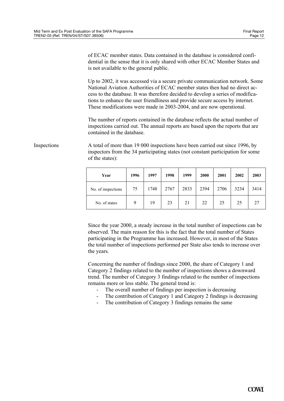of ECAC member states. Data contained in the database is considered confidential in the sense that it is only shared with other ECAC Member States and is not available to the general public.

Up to 2002, it was accessed via a secure private communication network. Some National Aviation Authorities of ECAC member states then had no direct access to the database. It was therefore decided to develop a series of modifications to enhance the user friendliness and provide secure access by internet. These modifications were made in 2003-2004, and are now operational.

The number of reports contained in the database reflects the actual number of inspections carried out. The annual reports are based upon the reports that are contained in the database.

Inspections A total of more than 19 000 inspections have been carried out since 1996, by inspectors from the 34 participating states (not constant participation for some of the states):

| Year               | 1996 | 1997 | 1998 | 1999 | 2000 | 2001 | 2002 | 2003 |
|--------------------|------|------|------|------|------|------|------|------|
| No. of inspections | 75   | 1748 | 2767 | 2833 | 2394 | 2706 | 3234 | 3414 |
| No. of states      | 9    | 19   | 23   | 21   | 22   | 25   | 25   | 27   |

Since the year 2000, a steady increase in the total number of inspections can be observed. The main reason for this is the fact that the total number of States participating in the Programme has increased. However, in most of the States the total number of inspections performed per State also tends to increase over the years.

Concerning the number of findings since 2000, the share of Category 1 and Category 2 findings related to the number of inspections shows a downward trend. The number of Category 3 findings related to the number of inspections remains more or less stable. The general trend is:

- The overall number of findings per inspection is decreasing
- The contribution of Category 1 and Category 2 findings is decreasing
- The contribution of Category 3 findings remains the same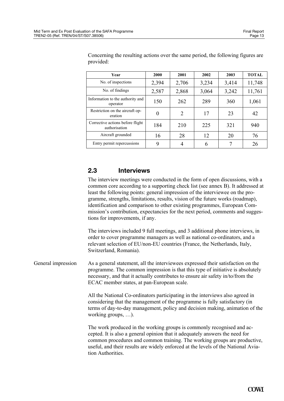| Year                                              | 2000  | 2001  | 2002  | 2003  | <b>TOTAL</b> |
|---------------------------------------------------|-------|-------|-------|-------|--------------|
| No. of inspections                                | 2,394 | 2,706 | 3,234 | 3,414 | 11,748       |
| No. of findings                                   | 2,587 | 2,868 | 3,064 | 3,242 | 11,761       |
| Information to the authority and<br>operator      | 150   | 262   | 289   | 360   | 1,061        |
| Restriction on the aircraft op-<br>eration        | 0     | 2     | 17    | 23    | 42           |
| Corrective actions before flight<br>authorisation | 184   | 210   | 225   | 321   | 940          |
| Aircraft grounded                                 | 16    | 28    | 12    | 20    | 76           |
| Entry permit repercussions                        | 9     |       | 6     |       | 26           |

<span id="page-15-0"></span>Concerning the resulting actions over the same period, the following figures are provided:

## **2.3 Interviews**

The interview meetings were conducted in the form of open discussions, with a common core according to a supporting check list (see annex B). It addressed at least the following points: general impression of the interviewee on the programme, strengths, limitations, results, vision of the future works (roadmap), identification and comparison to other existing programmes, European Commission's contribution, expectancies for the next period, comments and suggestions for improvements, if any.

The interviews included 9 full meetings, and 3 additional phone interviews, in order to cover programme managers as well as national co-ordinators, and a relevant selection of EU/non-EU countries (France, the Netherlands, Italy, Switzerland, Romania).

General impression As a general statement, all the interviewees expressed their satisfaction on the programme. The common impression is that this type of initiative is absolutely necessary, and that it actually contributes to ensure air safety in/to/from the ECAC member states, at pan-European scale.

> All the National Co-ordinators participating in the interviews also agreed in considering that the management of the programme is fully satisfactory (in terms of day-to-day management, policy and decision making, animation of the working groups, …).

> The work produced in the working groups is commonly recognised and accepted. It is also a general opinion that it adequately answers the need for common procedures and common training. The working groups are productive, useful, and their results are widely enforced at the levels of the National Aviation Authorities.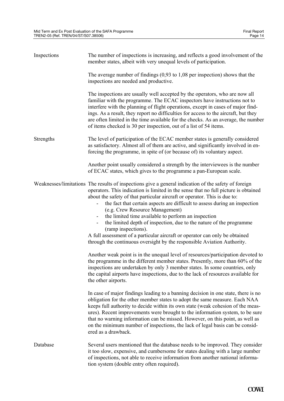| Inspections | The number of inspections is increasing, and reflects a good involvement of the<br>member states, albeit with very unequal levels of participation.                                                                                                                                                                                                                                                                                                                                                                                                                                                                                                                                                                                                                                                                                                                           |
|-------------|-------------------------------------------------------------------------------------------------------------------------------------------------------------------------------------------------------------------------------------------------------------------------------------------------------------------------------------------------------------------------------------------------------------------------------------------------------------------------------------------------------------------------------------------------------------------------------------------------------------------------------------------------------------------------------------------------------------------------------------------------------------------------------------------------------------------------------------------------------------------------------|
|             | The average number of findings $(0,93 \text{ to } 1,08 \text{ per inspection})$ shows that the<br>inspections are needed and productive.                                                                                                                                                                                                                                                                                                                                                                                                                                                                                                                                                                                                                                                                                                                                      |
|             | The inspections are usually well accepted by the operators, who are now all<br>familiar with the programme. The ECAC inspectors have instructions not to<br>interfere with the planning of flight operations, except in cases of major find-<br>ings. As a result, they report no difficulties for access to the aircraft, but they<br>are often limited in the time available for the checks. As an average, the number<br>of items checked is 30 per inspection, out of a list of 54 items.                                                                                                                                                                                                                                                                                                                                                                                 |
| Strengths   | The level of participation of the ECAC member states is generally considered<br>as satisfactory. Almost all of them are active, and significantly involved in en-<br>forcing the programme, in spite of (or because of) its voluntary aspect.                                                                                                                                                                                                                                                                                                                                                                                                                                                                                                                                                                                                                                 |
|             | Another point usually considered a strength by the interviewees is the number<br>of ECAC states, which gives to the programme a pan-European scale.                                                                                                                                                                                                                                                                                                                                                                                                                                                                                                                                                                                                                                                                                                                           |
|             | Weaknesses/limitations The results of inspections give a general indication of the safety of foreign<br>operators. This indication is limited in the sense that no full picture is obtained<br>about the safety of that particular aircraft or operator. This is due to:<br>the fact that certain aspects are difficult to assess during an inspection<br>(e.g. Crew Resource Management)<br>the limited time available to perform an inspection<br>the limited depth of inspection, due to the nature of the programme<br>(ramp inspections).<br>A full assessment of a particular aircraft or operator can only be obtained<br>through the continuous oversight by the responsible Aviation Authority.<br>Another weak point is in the unequal level of resources/participation devoted to<br>the programme in the different member states. Presently, more than 60% of the |
|             | inspections are undertaken by only 3 member states. In some countries, only<br>the capital airports have inspections, due to the lack of resources available for<br>the other airports.                                                                                                                                                                                                                                                                                                                                                                                                                                                                                                                                                                                                                                                                                       |
|             | In case of major findings leading to a banning decision in one state, there is no<br>obligation for the other member states to adopt the same measure. Each NAA<br>keeps full authority to decide within its own state (weak cohesion of the meas-<br>ures). Recent improvements were brought to the information system, to be sure<br>that no warning information can be missed. However, on this point, as well as<br>on the minimum number of inspections, the lack of legal basis can be consid-<br>ered as a drawback.                                                                                                                                                                                                                                                                                                                                                   |
| Database    | Several users mentioned that the database needs to be improved. They consider<br>it too slow, expensive, and cumbersome for states dealing with a large number<br>of inspections, not able to receive information from another national informa-<br>tion system (double entry often required).                                                                                                                                                                                                                                                                                                                                                                                                                                                                                                                                                                                |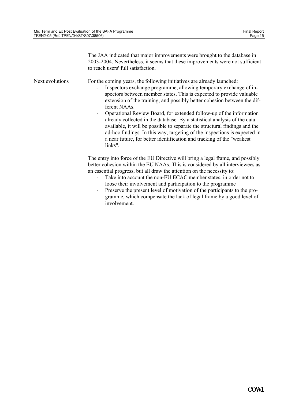The JAA indicated that major improvements were brought to the database in 2003-2004. Nevertheless, it seems that these improvements were not sufficient to reach users' full satisfaction.

| Next evolutions | For the coming years, the following initiatives are already launched:<br>Inspectors exchange programme, allowing temporary exchange of in-<br>$\overline{\phantom{a}}$<br>spectors between member states. This is expected to provide valuable<br>extension of the training, and possibly better cohesion between the dif-<br>ferent NAAs.<br>Operational Review Board, for extended follow-up of the information<br>already collected in the database. By a statistical analysis of the data<br>available, it will be possible to separate the structural findings and the<br>ad-hoc findings. In this way, targeting of the inspections is expected in<br>a near future, for better identification and tracking of the "weakest"<br>links". |
|-----------------|-----------------------------------------------------------------------------------------------------------------------------------------------------------------------------------------------------------------------------------------------------------------------------------------------------------------------------------------------------------------------------------------------------------------------------------------------------------------------------------------------------------------------------------------------------------------------------------------------------------------------------------------------------------------------------------------------------------------------------------------------|
|                 | The entry into force of the EU Directive will bring a legal frame, and possibly<br>better cohesion within the EU NAAs. This is considered by all interviewees as<br>an essential progress, but all draw the attention on the necessity to:<br>Take into account the non-EU ECAC member states, in order not to<br>loose their involvement and participation to the programme<br>Preserve the present level of motivation of the participants to the pro-<br>$\overline{\phantom{a}}$<br>gramme, which compensate the lack of legal frame by a good level of<br>involvement.                                                                                                                                                                   |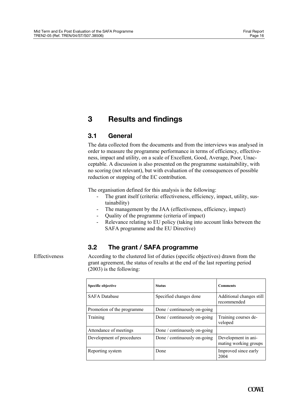## <span id="page-18-0"></span>**3 Results and findings**

## **3.1 General**

The data collected from the documents and from the interviews was analysed in order to measure the programme performance in terms of efficiency, effectiveness, impact and utility, on a scale of Excellent, Good, Average, Poor, Unacceptable. A discussion is also presented on the programme sustainability, with no scoring (not relevant), but with evaluation of the consequences of possible reduction or stopping of the EC contribution.

The organisation defined for this analysis is the following:

- The grant itself (criteria: effectiveness, efficiency, impact, utility, sustainability)
- The management by the JAA (effectiveness, efficiency, impact)
- Quality of the programme (criteria of impact)
- Relevance relating to EU policy (taking into account links between the SAFA programme and the EU Directive)

## **3.2 The grant / SAFA programme**

Effectiveness According to the clustered list of duties (specific objectives) drawn from the grant agreement, the status of results at the end of the last reporting period (2003) is the following:

| Specific objective         | <b>Status</b>                | <b>Comments</b>                              |
|----------------------------|------------------------------|----------------------------------------------|
| <b>SAFA</b> Database       | Specified changes done       | Additional changes still<br>recommended      |
| Promotion of the programme | Done / continuously on-going |                                              |
| Training                   | Done / continuously on-going | Training courses de-<br>veloped              |
| Attendance of meetings     | Done / continuously on-going |                                              |
| Development of procedures  | Done / continuously on-going | Development in ani-<br>mating working groups |
| Reporting system           | Done                         | Improved since early<br>2004                 |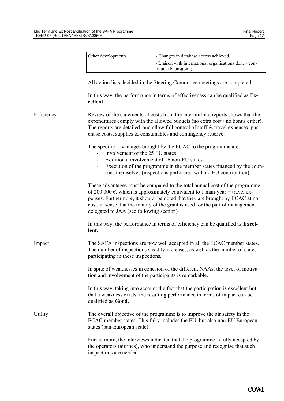|            | Other developments                                                                                                                                                                                                                                                                                                                                                                 | - Changes in database access achieved.                                                                                                                                                                                                                                                                                  |  |  |  |
|------------|------------------------------------------------------------------------------------------------------------------------------------------------------------------------------------------------------------------------------------------------------------------------------------------------------------------------------------------------------------------------------------|-------------------------------------------------------------------------------------------------------------------------------------------------------------------------------------------------------------------------------------------------------------------------------------------------------------------------|--|--|--|
|            |                                                                                                                                                                                                                                                                                                                                                                                    | - Liaison with international organisations done / con-<br>tinuously on-going                                                                                                                                                                                                                                            |  |  |  |
|            |                                                                                                                                                                                                                                                                                                                                                                                    | All action lists decided in the Steering Committee meetings are completed.                                                                                                                                                                                                                                              |  |  |  |
|            | cellent.                                                                                                                                                                                                                                                                                                                                                                           | In this way, the performance in terms of effectiveness can be qualified as Ex-                                                                                                                                                                                                                                          |  |  |  |
| Efficiency |                                                                                                                                                                                                                                                                                                                                                                                    | Review of the statements of costs from the interim/final reports shows that the<br>expenditures comply with the allowed budgets (no extra cost / no bonus either).<br>The reports are detailed, and allow full control of staff & travel expenses, pur-<br>chase costs, supplies & consumables and contingency reserve. |  |  |  |
|            | The specific advantages brought by the ECAC to the programme are:<br>Involvement of the 25 EU states<br>Additional involvement of 16 non-EU states<br>Execution of the programme in the member states financed by the coun-<br>$\blacksquare$<br>tries themselves (inspections performed with no EU contribution).                                                                 |                                                                                                                                                                                                                                                                                                                         |  |  |  |
|            | These advantages must be compared to the total annual cost of the programme<br>of 200 000 $\epsilon$ , which is approximately equivalent to 1 man-year + travel ex-<br>penses. Furthermore, it should be noted that they are brought by ECAC at no<br>cost, in sense that the totality of the grant is used for the part of management<br>delegated to JAA (see following section) |                                                                                                                                                                                                                                                                                                                         |  |  |  |
|            | lent.                                                                                                                                                                                                                                                                                                                                                                              | In this way, the performance in terms of efficiency can be qualified as <b>Excel-</b>                                                                                                                                                                                                                                   |  |  |  |
| Impact     | participating in these inspections.                                                                                                                                                                                                                                                                                                                                                | The SAFA inspections are now well accepted in all the ECAC member states.<br>The number of inspections steadily increases, as well as the number of states                                                                                                                                                              |  |  |  |
|            | In spite of weaknesses in cohesion of the different NAAs, the level of motiva-<br>tion and involvement of the participants is remarkable.                                                                                                                                                                                                                                          |                                                                                                                                                                                                                                                                                                                         |  |  |  |
|            | qualified as Good.                                                                                                                                                                                                                                                                                                                                                                 | In this way, taking into account the fact that the participation is excellent but<br>that a weakness exists, the resulting performance in terms of impact can be                                                                                                                                                        |  |  |  |
| Utility    | The overall objective of the programme is to improve the air safety in the<br>ECAC member states. This fully includes the EU, but also non-EU European<br>states (pan-European scale).                                                                                                                                                                                             |                                                                                                                                                                                                                                                                                                                         |  |  |  |
|            | inspections are needed.                                                                                                                                                                                                                                                                                                                                                            | Furthermore, the interviews indicated that the programme is fully accepted by<br>the operators (airlines), who understand the purpose and recognise that such                                                                                                                                                           |  |  |  |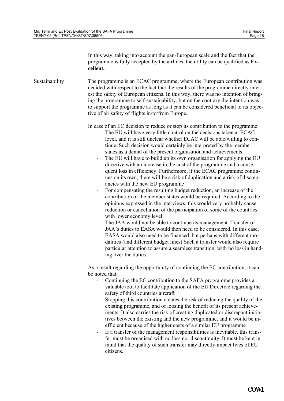In this way, taking into account the pan-European scale and the fact that the programme is fully accepted by the airlines, the utility can be qualified as **Excellent.** 

Sustainability The programme is an ECAC programme, where the European contribution was decided with respect to the fact that the results of the programme directly interest the safety of European citizens. In this way, there was no intention of bringing the programme to self-sustainability, but on the contrary the intention was to support the programme as long as it can be considered beneficial to its objective of air safety of flights in/to/from Europe.

In case of an EC decision to reduce or stop its contribution to the programme:

- The EU will have very little control on the decisions taken at ECAC level, and it is still unclear whether ECAC will be able/willing to continue. Such decision would certainly be interpreted by the member states as a denial of the present organisation and achievements
- The EU will have to build up its own organisation for applying the EU directive with an increase in the cost of the programme and a consequent loss in efficiency. Furthermore, if the ECAC programme continues on its own, there will be a risk of duplication and a risk of discrepancies with the new EU programme
- For compensating the resulting budget reduction, an increase of the contribution of the member states would be required. According to the opinions expressed in the interviews, this would very probably cause reduction or cancellation of the participation of some of the countries with lower economy level.
- The JAA would not be able to continue its management. Transfer of JAA's duties to EASA would then need to be considered. In this case, EASA would also need to be financed, but perhaps with different modalities (and different budget lines) Such a transfer would also require particular attention to assure a seamless transition, with no loss in handing over the duties.

As a result regarding the opportunity of continuing the EC contribution, it can be noted that:

- Continuing the EC contribution to the SAFA programme provides a valuable tool to facilitate application of the EU Directive regarding the safety of third countries aircraft
- Stopping this contribution creates the risk of reducing the quality of the existing programme, and of loosing the benefit of its present achievements. It also carries the risk of creating duplicated or discrepant initiatives between the existing and the new programme, and it would be inefficient because of the higher costs of a similar EU programme
- If a transfer of the management responsibilities is inevitable, this transfer must be organised with no loss nor discontinuity. It must be kept in mind that the quality of such transfer may directly impact lives of EU citizens.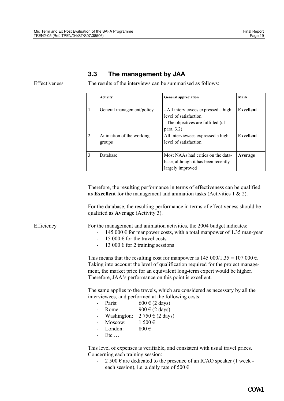#### **3.3 The management by JAA**

<span id="page-21-0"></span>

Effectiveness The results of the interviews can be summarised as follows:

|                | <b>Activity</b>                    | <b>General appreciation</b>                                                                                       | Mark      |
|----------------|------------------------------------|-------------------------------------------------------------------------------------------------------------------|-----------|
|                | General management/policy          | - All interviewees expressed a high<br>level of satisfaction<br>- The objectives are fulfilled (cf)<br>para. 3.2) | Excellent |
| $\overline{c}$ | Animation of the working<br>groups | All interviewees expressed a high<br>level of satisfaction                                                        | Excellent |
| $\mathcal{E}$  | Database                           | Most NAAs had critics on the data-<br>base, although it has been recently<br>largely improved                     | Average   |

Therefore, the resulting performance in terms of effectiveness can be qualified **as Excellent** for the management and animation tasks (Activities 1 & 2).

For the database, the resulting performance in terms of effectiveness should be qualified as **Average** (Activity 3).

Efficiency For the management and animation activities, the 2004 budget indicates:

- $-145000 \text{ }\epsilon$  for manpower costs, with a total manpower of 1.35 man-year
- 15 000  $\epsilon$  for the travel costs
- 13 000  $\epsilon$  for 2 training sessions

This means that the resulting cost for manpower is  $145\,000/1.35 = 107\,000\,\epsilon$ . Taking into account the level of qualification required for the project management, the market price for an equivalent long-term expert would be higher. Therefore, JAA's performance on this point is excellent.

The same applies to the travels, which are considered as necessary by all the interviewees, and performed at the following costs:

- Paris:  $600 \in (2 \text{ days})$
- Rome:  $900 \text{ } \in (2 \text{ days})$
- Washington:  $2\,750 \in (2 \text{ days})$
- Moscow:  $1500 \in$
- London:  $800 \in$
- $Etc$   $\dots$

This level of expenses is verifiable, and consistent with usual travel prices. Concerning each training session:

 $-2500 \text{ } \epsilon$  are dedicated to the presence of an ICAO speaker (1 week each session), i.e. a daily rate of 500  $\epsilon$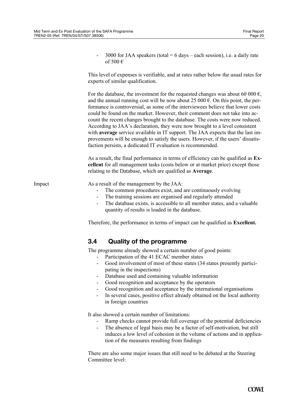<span id="page-22-0"></span>

|        | 3000 for JAA speakers (total = $6$ days – each session), i.e. a daily rate<br>of 500 $\in$                                                                                                                                                                                                                                                                                                                                                                                                                                                                                                                                                                                                                                                                           |  |  |  |  |
|--------|----------------------------------------------------------------------------------------------------------------------------------------------------------------------------------------------------------------------------------------------------------------------------------------------------------------------------------------------------------------------------------------------------------------------------------------------------------------------------------------------------------------------------------------------------------------------------------------------------------------------------------------------------------------------------------------------------------------------------------------------------------------------|--|--|--|--|
|        | This level of expenses is verifiable, and at rates rather below the usual rates for<br>experts of similar qualification.                                                                                                                                                                                                                                                                                                                                                                                                                                                                                                                                                                                                                                             |  |  |  |  |
|        | For the database, the investment for the requested changes was about 60 000 $\epsilon$ ,<br>and the annual running cost will be now about 25 000 $\epsilon$ . On this point, the per-<br>formance is controversial, as some of the interviewees believe that lower costs<br>could be found on the market. However, their comment does not take into ac-<br>count the recent changes brought to the database. The costs were now reduced.<br>According to JAA's declaration, they were now brought to a level consistent<br>with <b>average</b> service available in IT support. The JAA expects that the last im-<br>provements will be enough to satisfy the users. However, if the users' dissatis-<br>faction persists, a dedicated IT evaluation is recommended. |  |  |  |  |
|        | As a result, the final performance in terms of efficiency can be qualified as Ex-<br>cellent for all management tasks (costs below or at market price) except those<br>relating to the Database, which are qualified as Average.                                                                                                                                                                                                                                                                                                                                                                                                                                                                                                                                     |  |  |  |  |
| Impact | As a result of the management by the JAA:<br>The common procedures exist, and are continuously evolving<br>The training sessions are organised and regularly attended<br>The database exists, is accessible to all member states, and a valuable<br>quantity of results is loaded in the database.                                                                                                                                                                                                                                                                                                                                                                                                                                                                   |  |  |  |  |
|        | Therefore, the performance in terms of impact can be qualified as Excellent.                                                                                                                                                                                                                                                                                                                                                                                                                                                                                                                                                                                                                                                                                         |  |  |  |  |
|        | 3.4<br><b>Quality of the programme</b>                                                                                                                                                                                                                                                                                                                                                                                                                                                                                                                                                                                                                                                                                                                               |  |  |  |  |
|        | The programme already showed a certain number of good points:<br>Participation of the 41 ECAC member states<br>Good involvement of most of these states (34 states presently partici-<br>pating in the inspections)<br>Database used and containing valuable information<br>$\qquad \qquad \blacksquare$<br>Good recognition and acceptance by the operators<br>Good recognition and acceptance by the international organisations<br>In several cases, positive effect already obtained on the local authority<br>in foreign countries                                                                                                                                                                                                                              |  |  |  |  |
|        | It also showed a certain number of limitations:<br>Ramp checks cannot provide full coverage of the potential deficiencies<br>The absence of legal basis may be a factor of self-motivation, but still<br>$\overline{\phantom{a}}$<br>induces a low level of cohesion in the volume of actions and in applica-<br>tion of the measures resulting from findings                                                                                                                                                                                                                                                                                                                                                                                                        |  |  |  |  |
|        | There are also some major issues that still need to be debated at the Steering<br>Committee level:                                                                                                                                                                                                                                                                                                                                                                                                                                                                                                                                                                                                                                                                   |  |  |  |  |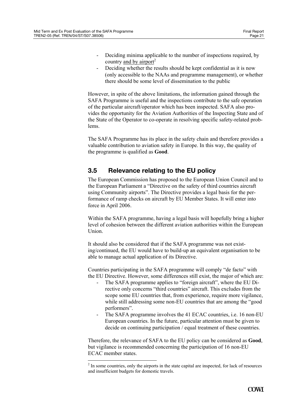- <span id="page-23-0"></span>- Deciding minima applicable to the number of inspections required, by country and by airport $2$
- Deciding whether the results should be kept confidential as it is now (only accessible to the NAAs and programme management), or whether there should be some level of dissemination to the public

However, in spite of the above limitations, the information gained through the SAFA Programme is useful and the inspections contribute to the safe operation of the particular aircraft/operator which has been inspected. SAFA also provides the opportunity for the Aviation Authorities of the Inspecting State and of the State of the Operator to co-operate in resolving specific safety-related problems.

The SAFA Programme has its place in the safety chain and therefore provides a valuable contribution to aviation safety in Europe. In this way, the quality of the programme is qualified as **Good**.

## **3.5 Relevance relating to the EU policy**

The European Commission has proposed to the European Union Council and to the European Parliament a "Directive on the safety of third countries aircraft using Community airports". The Directive provides a legal basis for the performance of ramp checks on aircraft by EU Member States. It will enter into force in April 2006.

Within the SAFA programme, having a legal basis will hopefully bring a higher level of cohesion between the different aviation authorities within the European Union.

It should also be considered that if the SAFA programme was not existing/continued, the EU would have to build-up an equivalent organisation to be able to manage actual application of its Directive.

Countries participating in the SAFA programme will comply "de facto" with the EU Directive. However, some differences still exist, the major of which are:

- The SAFA programme applies to "foreign aircraft", where the EU Directive only concerns "third countries" aircraft. This excludes from the scope some EU countries that, from experience, require more vigilance, while still addressing some non-EU countries that are among the "good performers".
- The SAFA programme involves the 41 ECAC countries, i.e. 16 non-EU European countries. In the future, particular attention must be given to decide on continuing participation / equal treatment of these countries.

Therefore, the relevance of SAFA to the EU policy can be considered as **Good**, but vigilance is recommended concerning the participation of 16 non-EU ECAC member states.

<span id="page-23-1"></span> $2<sup>2</sup>$  In some countries, only the airports in the state capital are inspected, for lack of resources and insufficient budgets for domestic travels.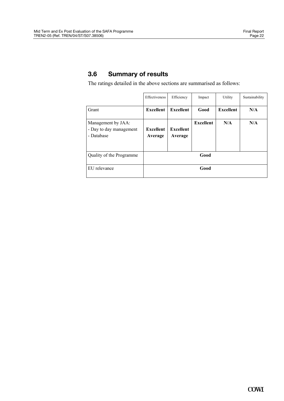## <span id="page-24-0"></span>**3.6 Summary of results**

The ratings detailed in the above sections are summarised as follows:

|                                                             | Effectiveness               | Efficiency           | Impact           | Utility          | Sustainability |
|-------------------------------------------------------------|-----------------------------|----------------------|------------------|------------------|----------------|
| Grant                                                       | <b>Excellent</b>            | <b>Excellent</b>     | Good             | <b>Excellent</b> | N/A            |
| Management by JAA:<br>- Day to day management<br>- Database | <b>Excellent</b><br>Average | Excellent<br>Average | <b>Excellent</b> | N/A              | N/A            |
| Quality of the Programme                                    | Good                        |                      |                  |                  |                |
| EU relevance                                                | Good                        |                      |                  |                  |                |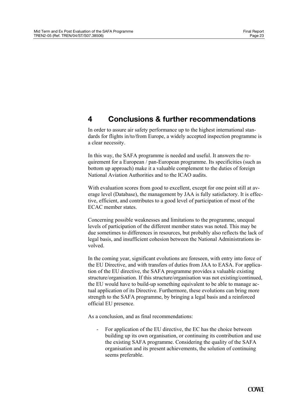## <span id="page-25-0"></span>**4 Conclusions & further recommendations**

In order to assure air safety performance up to the highest international standards for flights in/to/from Europe, a widely accepted inspection programme is a clear necessity.

In this way, the SAFA programme is needed and useful. It answers the requirement for a European / pan-European programme. Its specificities (such as bottom up approach) make it a valuable complement to the duties of foreign National Aviation Authorities and to the ICAO audits.

With evaluation scores from good to excellent, except for one point still at average level (Database), the management by JAA is fully satisfactory. It is effective, efficient, and contributes to a good level of participation of most of the ECAC member states.

Concerning possible weaknesses and limitations to the programme, unequal levels of participation of the different member states was noted. This may be due sometimes to differences in resources, but probably also reflects the lack of legal basis, and insufficient cohesion between the National Administrations involved.

In the coming year, significant evolutions are foreseen, with entry into force of the EU Directive, and with transfers of duties from JAA to EASA. For application of the EU directive, the SAFA programme provides a valuable existing structure/organisation. If this structure/organisation was not existing/continued, the EU would have to build-up something equivalent to be able to manage actual application of its Directive. Furthermore, these evolutions can bring more strength to the SAFA programme, by bringing a legal basis and a reinforced official EU presence.

As a conclusion, and as final recommendations:

- For application of the EU directive, the EC has the choice between building up its own organisation, or continuing its contribution and use the existing SAFA programme. Considering the quality of the SAFA organisation and its present achievements, the solution of continuing seems preferable.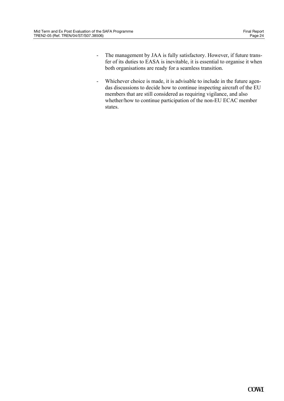- The management by JAA is fully satisfactory. However, if future transfer of its duties to EASA is inevitable, it is essential to organise it when both organisations are ready for a seamless transition.
- Whichever choice is made, it is advisable to include in the future agendas discussions to decide how to continue inspecting aircraft of the EU members that are still considered as requiring vigilance, and also whether/how to continue participation of the non-EU ECAC member states.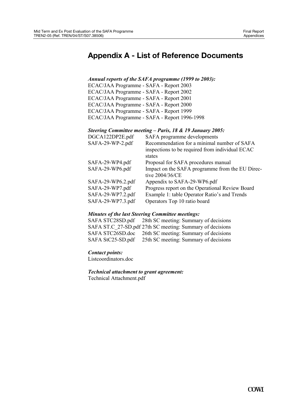# **Appendix A - List of Reference Documents**

#### *Annual reports of the SAFA programme (1999 to 2003):*

ECAC/JAA Programme - SAFA - Report 2003 ECAC/JAA Programme - SAFA - Report 2002 ECAC/JAA Programme - SAFA - Report 2001 ECAC/JAA Programme - SAFA - Report 2000 ECAC/JAA Programme - SAFA - Report 1999 ECAC/JAA Programme - SAFA - Report 1996-1998

#### *Steering Committee meeting – Paris, 18 & 19 January 2005:*

| DGCA122DP2E.pdf   | SAFA programme developments                     |
|-------------------|-------------------------------------------------|
| SAFA-29-WP-2.pdf  | Recommendation for a minimal number of SAFA     |
|                   | inspections to be required from individual ECAC |
|                   | states                                          |
| SAFA-29-WP4.pdf   | Proposal for SAFA procedures manual             |
| SAFA-29-WP6.pdf   | Impact on the SAFA programme from the EU Direc- |
|                   | tive 2004/36/CE                                 |
| SAFA-29-WP6.2.pdf | Appendix to SAFA-29-WP6.pdf                     |
| SAFA-29-WP7.pdf   | Progress report on the Operational Review Board |
| SAFA-29-WP7.2.pdf | Example 1: table Operator Ratio's and Trends    |
| SAFA-29-WP7.3.pdf | Operators Top 10 ratio board                    |

#### *Minutes of the last Steering Committee meetings:*

SAFA STC28SD.pdf 28th SC meeting: Summary of decisions SAFA ST.C\_27-SD.pdf 27th SC meeting: Summary of decisions SAFA STC26SD.doc 26th SC meeting: Summary of decisions SAFA StC25-SD.pdf 25th SC meeting: Summary of decisions

#### *Contact points:*

Listcoordinators.doc

#### *Technical attachment to grant agreement:*

Technical Attachment.pdf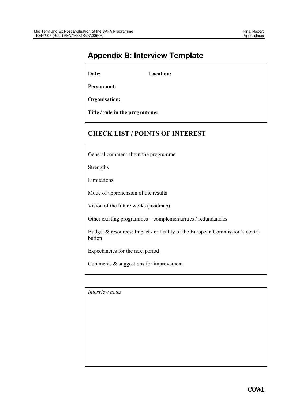# **Appendix B: Interview Template**

**Date: Location:** 

**Person met:** 

**Organisation:** 

**Title / role in the programme:** 

#### **CHECK LIST / POINTS OF INTEREST**

General comment about the programme

Strengths

Limitations

Mode of apprehension of the results

Vision of the future works (roadmap)

Other existing programmes – complementarities / redundancies

Budget & resources: Impact / criticality of the European Commission's contribution

Expectancies for the next period

Comments & suggestions for improvement

*Interview notes*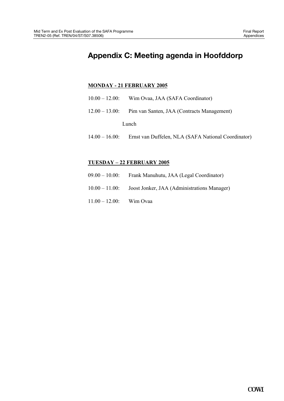# **Appendix C: Meeting agenda in Hoofddorp**

#### **MONDAY - 21 FEBRUARY 2005**

- 10.00 12.00: Wim Ovaa, JAA (SAFA Coordinator)
- 12.00 13.00: Pim van Santen, JAA (Contracts Management)

Lunch

14.00 – 16.00: Ernst van Duffelen, NLA (SAFA National Coordinator)

#### **TUESDAY – 22 FEBRUARY 2005**

- 09.00 10.00: Frank Manuhutu, JAA (Legal Coordinator)
- 10.00 11.00: Joost Jonker, JAA (Administrations Manager)
- 11.00 12.00: Wim Ovaa